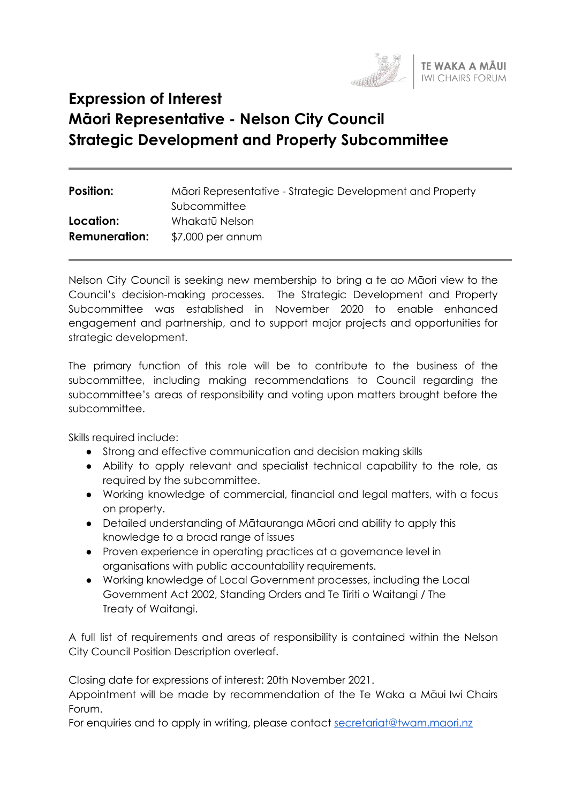

# **Expression of Interest Māori Representative - Nelson City Council Strategic Development and Property Subcommittee**

| Māori Representative - Strategic Development and Property |
|-----------------------------------------------------------|
| Subcommittee                                              |
| Whakatū Nelson                                            |
| \$7,000 per annum                                         |
|                                                           |

Nelson City Council is seeking new membership to bring a te ao Māori view to the Council's decision-making processes. The Strategic Development and Property Subcommittee was established in November 2020 to enable enhanced engagement and partnership, and to support major projects and opportunities for strategic development.

The primary function of this role will be to contribute to the business of the subcommittee, including making recommendations to Council regarding the subcommittee's areas of responsibility and voting upon matters brought before the subcommittee.

Skills required include:

- Strong and effective communication and decision making skills
- Ability to apply relevant and specialist technical capability to the role, as required by the subcommittee.
- Working knowledge of commercial, financial and legal matters, with a focus on property.
- Detailed understanding of Mātauranga Māori and ability to apply this knowledge to a broad range of issues
- Proven experience in operating practices at a governance level in organisations with public accountability requirements.
- Working knowledge of Local Government processes, including the Local Government Act 2002, Standing Orders and Te Tiriti o Waitangi / The Treaty of Waitangi.

A full list of requirements and areas of responsibility is contained within the Nelson City Council Position Description overleaf.

Closing date for expressions of interest: 20th November 2021.

Appointment will be made by recommendation of the Te Waka a Māui Iwi Chairs Forum.

For enquiries and to apply in writing, please contact [secretariat@twam.maori.nz](mailto:secretariat@twam.maori.nz)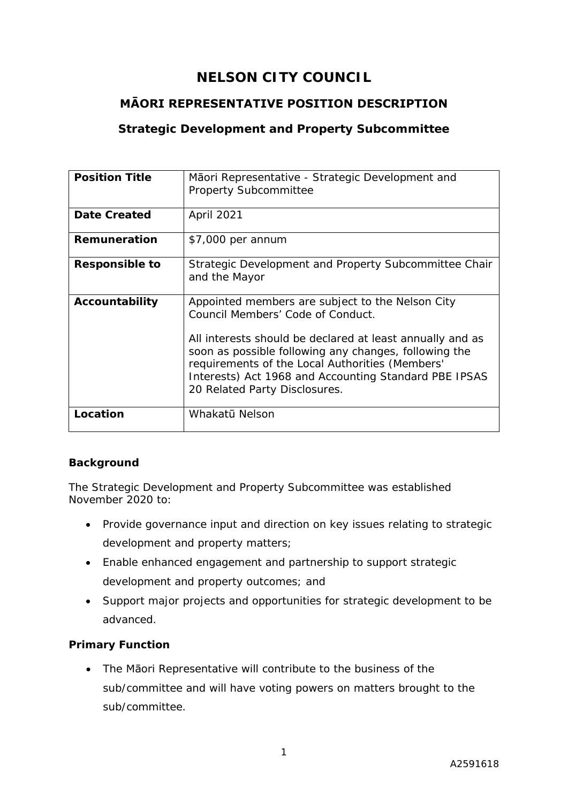## **NELSON CITY COUNCIL**

## **MĀORI REPRESENTATIVE POSITION DESCRIPTION**

## **Strategic Development and Property Subcommittee**

| <b>Position Title</b> | Māori Representative - Strategic Development and<br><b>Property Subcommittee</b>                                                                                                                                                                                                                                                                         |
|-----------------------|----------------------------------------------------------------------------------------------------------------------------------------------------------------------------------------------------------------------------------------------------------------------------------------------------------------------------------------------------------|
| <b>Date Created</b>   | April 2021                                                                                                                                                                                                                                                                                                                                               |
| Remuneration          | \$7,000 per annum                                                                                                                                                                                                                                                                                                                                        |
| Responsible to        | Strategic Development and Property Subcommittee Chair<br>and the Mayor                                                                                                                                                                                                                                                                                   |
| Accountability        | Appointed members are subject to the Nelson City<br>Council Members' Code of Conduct.<br>All interests should be declared at least annually and as<br>soon as possible following any changes, following the<br>requirements of the Local Authorities (Members'<br>Interests) Act 1968 and Accounting Standard PBE IPSAS<br>20 Related Party Disclosures. |
| Location              | Whakatū Nelson                                                                                                                                                                                                                                                                                                                                           |

#### **Background**

The Strategic Development and Property Subcommittee was established November 2020 to:

- Provide governance input and direction on key issues relating to strategic development and property matters;
- Enable enhanced engagement and partnership to support strategic development and property outcomes; and
- Support major projects and opportunities for strategic development to be advanced.

## **Primary Function**

• The Māori Representative will contribute to the business of the sub/committee and will have voting powers on matters brought to the sub/committee.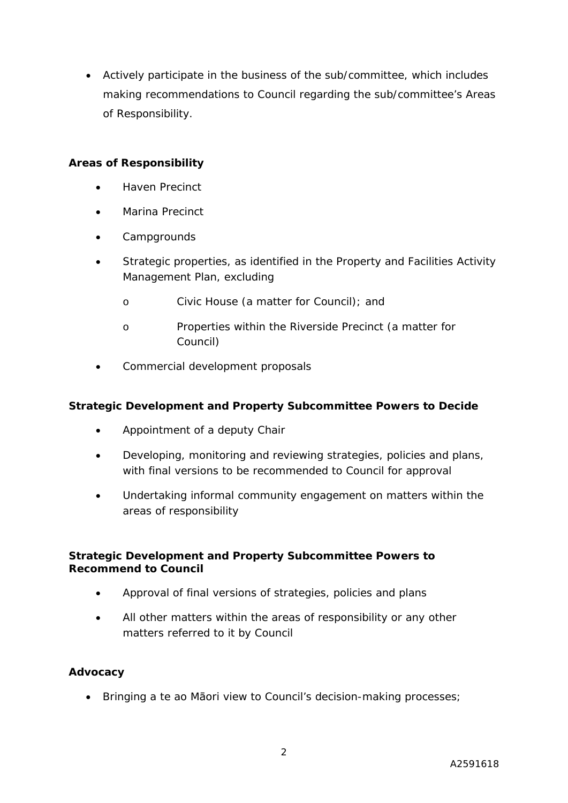• Actively participate in the business of the sub/committee, which includes making recommendations to Council regarding the sub/committee's Areas of Responsibility.

#### **Areas of Responsibility**

- Haven Precinct
- Marina Precinct
- Campgrounds
- Strategic properties, as identified in the Property and Facilities Activity Management Plan, excluding
	- o Civic House (a matter for Council); and
	- o Properties within the Riverside Precinct (a matter for Council)
- Commercial development proposals

#### **Strategic Development and Property Subcommittee Powers to Decide**

- Appointment of a deputy Chair
- Developing, monitoring and reviewing strategies, policies and plans, with final versions to be recommended to Council for approval
- Undertaking informal community engagement on matters within the areas of responsibility

#### **Strategic Development and Property Subcommittee Powers to Recommend to Council**

- Approval of final versions of strategies, policies and plans
- All other matters within the areas of responsibility or any other matters referred to it by Council

#### **Advocacy**

• Bringing a te ao Māori view to Council's decision-making processes;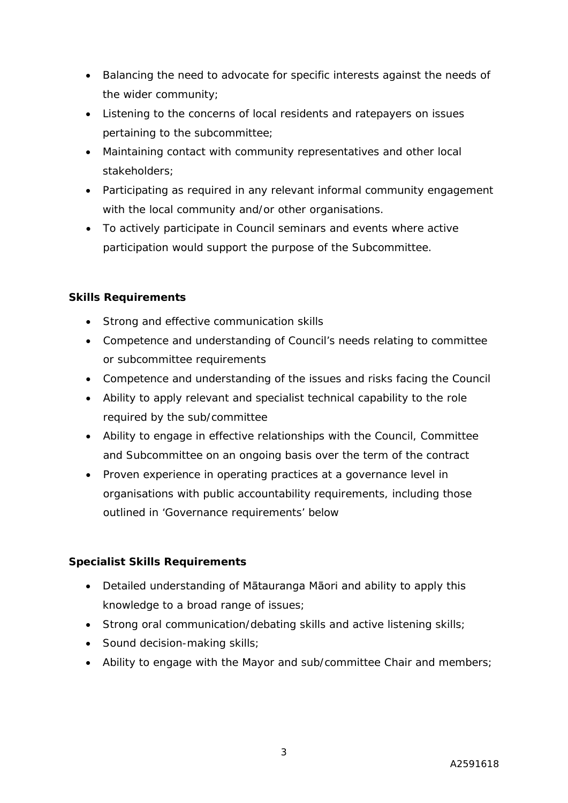- Balancing the need to advocate for specific interests against the needs of the wider community;
- Listening to the concerns of local residents and ratepayers on issues pertaining to the subcommittee;
- Maintaining contact with community representatives and other local stakeholders;
- Participating as required in any relevant informal community engagement with the local community and/or other organisations.
- To actively participate in Council seminars and events where active participation would support the purpose of the Subcommittee.

## **Skills Requirements**

- Strong and effective communication skills
- Competence and understanding of Council's needs relating to committee or subcommittee requirements
- Competence and understanding of the issues and risks facing the Council
- Ability to apply relevant and specialist technical capability to the role required by the sub/committee
- Ability to engage in effective relationships with the Council, Committee and Subcommittee on an ongoing basis over the term of the contract
- Proven experience in operating practices at a governance level in organisations with public accountability requirements, including those outlined in 'Governance requirements' below

#### **Specialist Skills Requirements**

- Detailed understanding of Mātauranga Māori and ability to apply this knowledge to a broad range of issues;
- Strong oral communication/debating skills and active listening skills;
- Sound decision-making skills;
- Ability to engage with the Mayor and sub/committee Chair and members;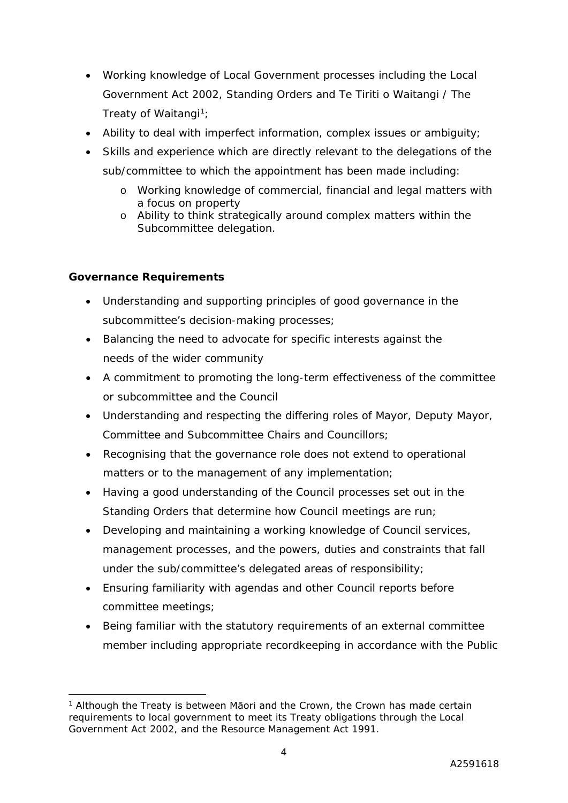- Working knowledge of Local Government processes including the Local Government Act 2002, Standing Orders and Te Tiriti o Waitangi / The Treaty of Waitangi<sup>1</sup>;
- Ability to deal with imperfect information, complex issues or ambiguity;
- Skills and experience which are directly relevant to the delegations of the sub/committee to which the appointment has been made including:
	- o Working knowledge of commercial, financial and legal matters with a focus on property
	- o Ability to think strategically around complex matters within the Subcommittee delegation.

## **Governance Requirements**

- Understanding and supporting principles of good governance in the subcommittee's decision-making processes;
- Balancing the need to advocate for specific interests against the needs of the wider community
- A commitment to promoting the long-term effectiveness of the committee or subcommittee and the Council
- Understanding and respecting the differing roles of Mayor, Deputy Mayor, Committee and Subcommittee Chairs and Councillors;
- Recognising that the governance role does not extend to operational matters or to the management of any implementation;
- Having a good understanding of the Council processes set out in the Standing Orders that determine how Council meetings are run;
- Developing and maintaining a working knowledge of Council services, management processes, and the powers, duties and constraints that fall under the sub/committee's delegated areas of responsibility;
- Ensuring familiarity with agendas and other Council reports before committee meetings;
- Being familiar with the statutory requirements of an external committee member including appropriate recordkeeping in accordance with the Public

<span id="page-4-0"></span><sup>&</sup>lt;sup>1</sup> Although the Treaty is between Māori and the Crown, the Crown has made certain requirements to local government to meet its Treaty obligations through the Local Government Act 2002, and the Resource Management Act 1991.